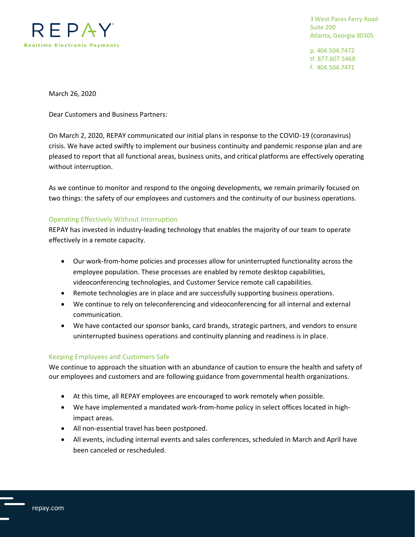

3 West Paces Ferry Road Suite 200 Atlanta, Georgia 30305

p. 404.504.7472 tf. 877.607.5468 f. 404.504.7471

March 26, 2020

Dear Customers and Business Partners:

On March 2, 2020, REPAY communicated our initial plans in response to the COVID-19 (coronavirus) crisis. We have acted swiftly to implement our business continuity and pandemic response plan and are pleased to report that all functional areas, business units, and critical platforms are effectively operating without interruption.

As we continue to monitor and respond to the ongoing developments, we remain primarily focused on two things: the safety of our employees and customers and the continuity of our business operations.

## Operating Effectively Without Interruption

REPAY has invested in industry-leading technology that enables the majority of our team to operate effectively in a remote capacity.

- Our work-from-home policies and processes allow for uninterrupted functionality across the employee population. These processes are enabled by remote desktop capabilities, videoconferencing technologies, and Customer Service remote call capabilities.
- Remote technologies are in place and are successfully supporting business operations.
- We continue to rely on teleconferencing and videoconferencing for all internal and external communication.
- We have contacted our sponsor banks, card brands, strategic partners, and vendors to ensure uninterrupted business operations and continuity planning and readiness is in place.

## Keeping Employees and Customers Safe

We continue to approach the situation with an abundance of caution to ensure the health and safety of our employees and customers and are following guidance from governmental health organizations.

- At this time, all REPAY employees are encouraged to work remotely when possible.
- We have implemented a mandated work-from-home policy in select offices located in highimpact areas.
- All non-essential travel has been postponed.
- All events, including internal events and sales conferences, scheduled in March and April have been canceled or rescheduled.